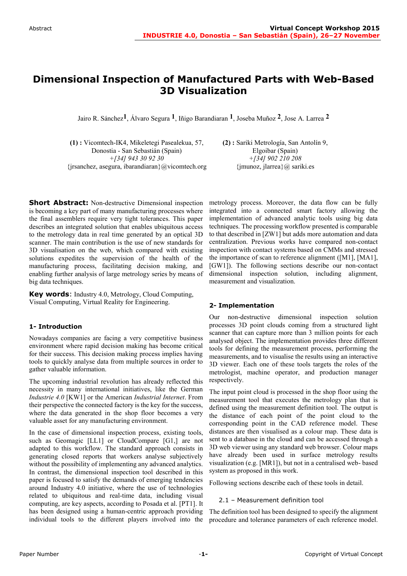# **Dimensional Inspection of Manufactured Parts with Web-Based 3D Visualization**

Jairo R. Sánchez**1**, Álvaro Segura **1**, Iñigo Barandiaran **1**, Joseba Muñoz **2**, Jose A. Larrea **2**

**(1) :** Vicomtech-IK4, Mikeletegi Pasealekua, 57, Donostia - San Sebastián (Spain) *+[34] 943 30 92 30*  {jrsanchez, asegura, ibarandiaran}@vicomtech.org **(2) :** Sariki Metrología, San Antolín 9, Elgoibar (Spain) *+[34] 902 210 208*  ${\{imuncz, i| area\}}\omega$  sariki.es

**Short Abstract:** Non-destructive Dimensional inspection is becoming a key part of many manufacturing processes where the final assemblers require very tight tolerances. This paper describes an integrated solution that enables ubiquitous access to the metrology data in real time generated by an optical 3D scanner. The main contribution is the use of new standards for 3D visualisation on the web, which compared with existing solutions expedites the supervision of the health of the manufacturing process, facilitating decision making, and enabling further analysis of large metrology series by means of big data techniques.

**Key words**: Industry 4.0, Metrology, Cloud Computing, Visual Computing, Virtual Reality for Engineering.

#### **1- Introduction**

Nowadays companies are facing a very competitive business environment where rapid decision making has become critical for their success. This decision making process implies having tools to quickly analyse data from multiple sources in order to gather valuable information.

The upcoming industrial revolution has already reflected this necessity in many international initiatives, like the German *Industrie 4.0* [KW1] or the American *Industrial Internet*. From their perspective the connected factory is the key for the success, where the data generated in the shop floor becomes a very valuable asset for any manufacturing environment.

In the case of dimensional inspection process, existing tools, such as Geomagic [LL1] or CloudCompare [G1,] are not adapted to this workflow. The standard approach consists in generating closed reports that workers analyse subjectively without the possibility of implementing any advanced analytics. In contrast, the dimensional inspection tool described in this paper is focused to satisfy the demands of emerging tendencies around Industry 4.0 initiative, where the use of technologies related to ubiquitous and real-time data, including visual computing, are key aspects, according to Posada et al. [PT1]. It has been designed using a human-centric approach providing individual tools to the different players involved into the

metrology process. Moreover, the data flow can be fully integrated into a connected smart factory allowing the implementation of advanced analytic tools using big data techniques. The processing workflow presented is comparable to that described in [ZW1] but adds more automation and data centralization. Previous works have compared non-contact inspection with contact systems based on CMMs and stressed the importance of scan to reference alignment ([M1], [MA1], [GW1]). The following sections describe our non-contact dimensional inspection solution, including alignment, measurement and visualization.

# **2- Implementation**

Our non-destructive dimensional inspection solution processes 3D point clouds coming from a structured light scanner that can capture more than 3 million points for each analysed object. The implementation provides three different tools for defining the measurement process, performing the measurements, and to visualise the results using an interactive 3D viewer. Each one of these tools targets the roles of the metrologist, machine operator, and production manager respectively.

The input point cloud is processed in the shop floor using the measurement tool that executes the metrology plan that is defined using the measurement definition tool. The output is the distance of each point of the point cloud to the corresponding point in the CAD reference model. These distances are then visualised as a colour map. These data is sent to a database in the cloud and can be accessed through a 3D web viewer using any standard web browser. Colour maps have already been used in surface metrology results visualization (e.g. [MR1]), but not in a centralised web- based system as proposed in this work.

Following sections describe each of these tools in detail.

#### 2.1 – Measurement definition tool

The definition tool has been designed to specify the alignment procedure and tolerance parameters of each reference model.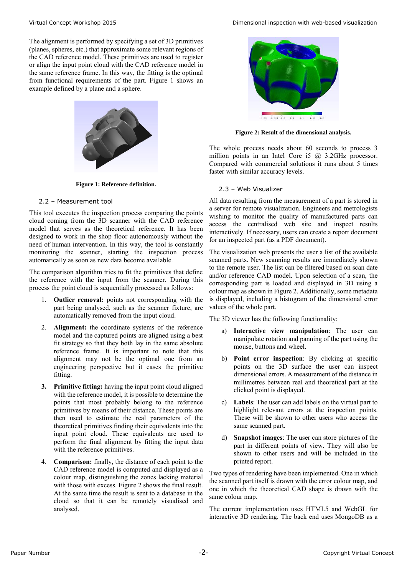The alignment is performed by specifying a set of 3D primitives (planes, spheres, etc.) that approximate some relevant regions of the CAD reference model. These primitives are used to register or align the input point cloud with the CAD reference model in the same reference frame. In this way, the fitting is the optimal from functional requirements of the part. [Figure 1](#page-1-0) shows an example defined by a plane and a sphere.



**Figure 1: Reference definition.**

### <span id="page-1-0"></span>2.2 – Measurement tool

This tool executes the inspection process comparing the points cloud coming from the 3D scanner with the CAD reference model that serves as the theoretical reference. It has been designed to work in the shop floor autonomously without the need of human intervention. In this way, the tool is constantly monitoring the scanner, starting the inspection process automatically as soon as new data become available.

The comparison algorithm tries to fit the primitives that define the reference with the input from the scanner. During this process the point cloud is sequentially processed as follows:

- 1. **Outlier removal:** points not corresponding with the part being analysed, such as the scanner fixture, are automatically removed from the input cloud.
- 2. **Alignment:** the coordinate systems of the reference model and the captured points are aligned using a best fit strategy so that they both lay in the same absolute reference frame. It is important to note that this alignment may not be the optimal one from an engineering perspective but it eases the primitive fitting.
- **3. Primitive fitting:** having the input point cloud aligned with the reference model, it is possible to determine the points that most probably belong to the reference primitives by means of their distance. These points are then used to estimate the real parameters of the theoretical primitives finding their equivalents into the input point cloud. These equivalents are used to perform the final alignment by fitting the input data with the reference primitives.
- 4. **Comparison:** finally, the distance of each point to the CAD reference model is computed and displayed as a colour map, distinguishing the zones lacking material with those with excess. [Figure 2](#page-1-1) shows the final result. At the same time the result is sent to a database in the cloud so that it can be remotely visualised and analysed.



**Figure 2: Result of the dimensional analysis.**

<span id="page-1-1"></span>The whole process needs about 60 seconds to process 3 million points in an Intel Core i5 @ 3.2GHz processor. Compared with commercial solutions it runs about 5 times faster with similar accuracy levels.

# 2.3 – Web Visualizer

All data resulting from the measurement of a part is stored in a server for remote visualization. Engineers and metrologists wishing to monitor the quality of manufactured parts can access the centralised web site and inspect results interactively. If necessary, users can create a report document for an inspected part (as a PDF document).

The visualization web presents the user a list of the available scanned parts. New scanning results are immediately shown to the remote user. The list can be filtered based on scan date and/or reference CAD model. Upon selection of a scan, the corresponding part is loaded and displayed in 3D using a colour map as shown in Figure 2. Additionally, some metadata is displayed, including a histogram of the dimensional error values of the whole part.

The 3D viewer has the following functionality:

- a) **Interactive view manipulation**: The user can manipulate rotation and panning of the part using the mouse, buttons and wheel.
- b) **Point error inspection**: By clicking at specific points on the 3D surface the user can inspect dimensional errors. A measurement of the distance in millimetres between real and theoretical part at the clicked point is displayed.
- c) **Labels**: The user can add labels on the virtual part to highlight relevant errors at the inspection points. These will be shown to other users who access the same scanned part.
- d) **Snapshot images**: The user can store pictures of the part in different points of view. They will also be shown to other users and will be included in the printed report.

Two types of rendering have been implemented. One in which the scanned part itself is drawn with the error colour map, and one in which the theoretical CAD shape is drawn with the same colour map.

The current implementation uses HTML5 and WebGL for interactive 3D rendering. The back end uses MongoDB as a